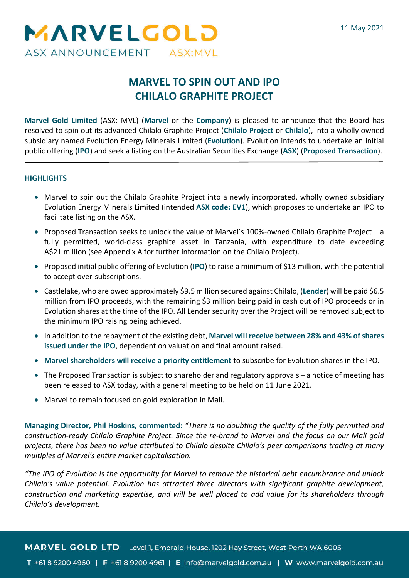

# **MARVEL TO SPIN OUT AND IPO CHILALO GRAPHITE PROJECT**

**Marvel Gold Limited** (ASX: MVL) (**Marvel** or the **Company**) is pleased to announce that the Board has resolved to spin out its advanced Chilalo Graphite Project (**Chilalo Project** or **Chilalo**), into a wholly owned subsidiary named Evolution Energy Minerals Limited (**Evolution**). Evolution intends to undertake an initial public offering (**IPO**) and seek a listing on the Australian Securities Exchange (**ASX**) (**Proposed Transaction**).

### **HIGHLIGHTS**

- Marvel to spin out the Chilalo Graphite Project into a newly incorporated, wholly owned subsidiary Evolution Energy Minerals Limited (intended **ASX code: EV1**), which proposes to undertake an IPO to facilitate listing on the ASX.
- Proposed Transaction seeks to unlock the value of Marvel's 100%-owned Chilalo Graphite Project a fully permitted, world-class graphite asset in Tanzania, with expenditure to date exceeding A\$21 million (see Appendix A for further information on the Chilalo Project).
- Proposed initial public offering of Evolution (**IPO**) to raise a minimum of \$13 million, with the potential to accept over-subscriptions.
- Castlelake, who are owed approximately \$9.5 million secured against Chilalo, (**Lender**) will be paid \$6.5 million from IPO proceeds, with the remaining \$3 million being paid in cash out of IPO proceeds or in Evolution shares at the time of the IPO. All Lender security over the Project will be removed subject to the minimum IPO raising being achieved.
- In addition to the repayment of the existing debt, **Marvel will receive between 28% and 43% of shares issued under the IPO**, dependent on valuation and final amount raised.
- **Marvel shareholders will receive a priority entitlement** to subscribe for Evolution shares in the IPO.
- The Proposed Transaction is subject to shareholder and regulatory approvals a notice of meeting has been released to ASX today, with a general meeting to be held on 11 June 2021.
- Marvel to remain focused on gold exploration in Mali.

**Managing Director, Phil Hoskins, commented:** *"There is no doubting the quality of the fully permitted and construction-ready Chilalo Graphite Project. Since the re-brand to Marvel and the focus on our Mali gold projects, there has been no value attributed to Chilalo despite Chilalo's peer comparisons trading at many multiples of Marvel's entire market capitalisation.*

*"The IPO of Evolution is the opportunity for Marvel to remove the historical debt encumbrance and unlock Chilalo's value potential. Evolution has attracted three directors with significant graphite development, construction and marketing expertise, and will be well placed to add value for its shareholders through Chilalo's development.*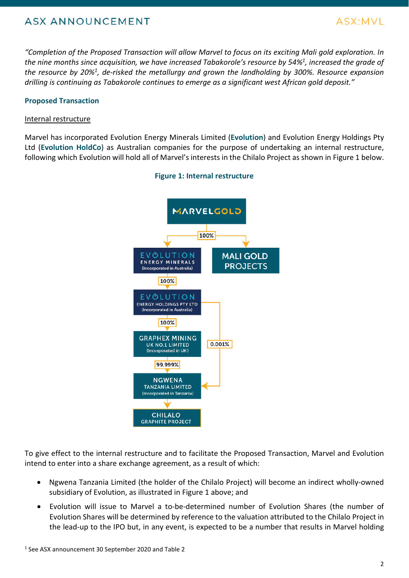

*"Completion of the Proposed Transaction will allow Marvel to focus on its exciting Mali gold exploration. In the nine months since acquisition, we have increased Tabakorole's resource by 54%1, increased the grade of the resource by 20%1, de-risked the metallurgy and grown the landholding by 300%. Resource expansion drilling is continuing as Tabakorole continues to emerge as a significant west African gold deposit."*

### **Proposed Transaction**

### Internal restructure

Marvel has incorporated Evolution Energy Minerals Limited (**Evolution**) and Evolution Energy Holdings Pty Ltd (**Evolution HoldCo**) as Australian companies for the purpose of undertaking an internal restructure, following which Evolution will hold all of Marvel's interests in the Chilalo Project as shown in Figure 1 below.



### **Figure 1: Internal restructure**

To give effect to the internal restructure and to facilitate the Proposed Transaction, Marvel and Evolution intend to enter into a share exchange agreement, as a result of which:

- Ngwena Tanzania Limited (the holder of the Chilalo Project) will become an indirect wholly-owned subsidiary of Evolution, as illustrated in Figure 1 above; and
- Evolution will issue to Marvel a to-be-determined number of Evolution Shares (the number of Evolution Shares will be determined by reference to the valuation attributed to the Chilalo Project in the lead-up to the IPO but, in any event, is expected to be a number that results in Marvel holding 10 give effect to the internal restructure and to<br>intend to enter into a share exchange agreemer<br>• Ngwena Tanzania Limited (the holder of<br>subsidiary of Evolution, as illustrated in F<br>• Evolution will issue to Marvel a to-b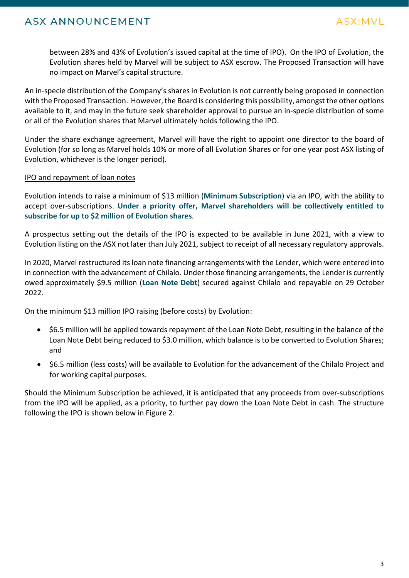

between 28% and 43% of Evolution's issued capital at the time of IPO). On the IPO of Evolution, the Evolution shares held by Marvel will be subject to ASX escrow. The Proposed Transaction will have no impact on Marvel's capital structure.

An in-specie distribution of the Company's shares in Evolution is not currently being proposed in connection with the Proposed Transaction. However, the Board is considering this possibility, amongst the other options available to it, and may in the future seek shareholder approval to pursue an in-specie distribution of some or all of the Evolution shares that Marvel ultimately holds following the IPO.

Under the share exchange agreement, Marvel will have the right to appoint one director to the board of Evolution (for so long as Marvel holds 10% or more of all Evolution Shares or for one year post ASX listing of Evolution, whichever is the longer period).

### IPO and repayment of loan notes

Evolution intends to raise a minimum of \$13 million (**Minimum Subscription**) via an IPO, with the ability to accept over-subscriptions. **Under a priority offer, Marvel shareholders will be collectively entitled to subscribe for up to \$2 million of Evolution shares**.

A prospectus setting out the details of the IPO is expected to be available in June 2021, with a view to Evolution listing on the ASX not later than July 2021, subject to receipt of all necessary regulatory approvals.

In 2020, Marvel restructured its loan note financing arrangements with the Lender, which were entered into in connection with the advancement of Chilalo. Under those financing arrangements, the Lender is currently owed approximately \$9.5 million (**Loan Note Debt**) secured against Chilalo and repayable on 29 October 2022.

On the minimum \$13 million IPO raising (before costs) by Evolution:

- \$6.5 million will be applied towards repayment of the Loan Note Debt, resulting in the balance of the Loan Note Debt being reduced to \$3.0 million, which balance is to be converted to Evolution Shares; and
- \$6.5 million (less costs) will be available to Evolution for the advancement of the Chilalo Project and for working capital purposes.

Should the Minimum Subscription be achieved, it is anticipated that any proceeds from over-subscriptions from the IPO will be applied, as a priority, to further pay down the Loan Note Debt in cash. The structure following the IPO is shown below in Figure 2.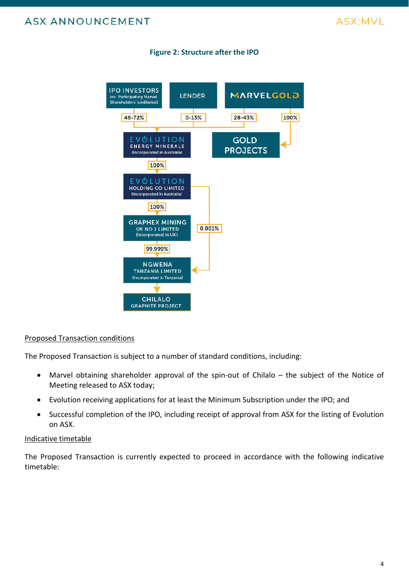



### **Figure 2: Structure after the IPO**

### Proposed Transaction conditions

The Proposed Transaction is subject to a number of standard conditions, including:

- Marvel obtaining shareholder approval of the spin-out of Chilalo the subject of the Notice of Meeting released to ASX today;
- Evolution receiving applications for at least the Minimum Subscription under the IPO; and
- Successful completion of the IPO, including receipt of approval from ASX for the listing of Evolution on ASX.

#### Indicative timetable

The Proposed Transaction is currently expected to proceed in accordance with the following indicative timetable: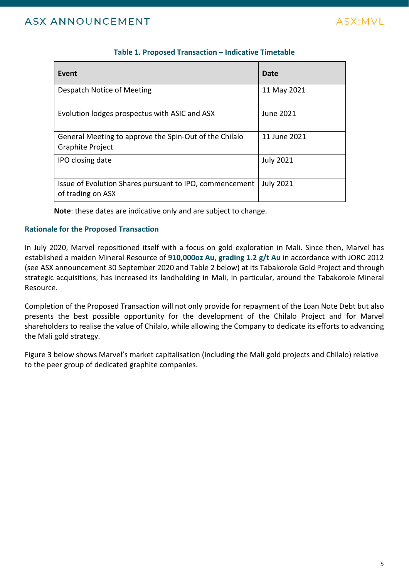

| Event                                                                             | Date             |
|-----------------------------------------------------------------------------------|------------------|
| Despatch Notice of Meeting                                                        | 11 May 2021      |
| Evolution lodges prospectus with ASIC and ASX                                     | June 2021        |
| General Meeting to approve the Spin-Out of the Chilalo<br><b>Graphite Project</b> | 11 June 2021     |
| IPO closing date                                                                  | <b>July 2021</b> |
| Issue of Evolution Shares pursuant to IPO, commencement<br>of trading on ASX      | <b>July 2021</b> |

### **Table 1. Proposed Transaction – Indicative Timetable**

**Note**: these dates are indicative only and are subject to change.

### **Rationale for the Proposed Transaction**

In July 2020, Marvel repositioned itself with a focus on gold exploration in Mali. Since then, Marvel has established a maiden Mineral Resource of **910,000oz Au, grading 1.2 g/t Au** in accordance with JORC 2012 (see ASX announcement 30 September 2020 and Table 2 below) at its Tabakorole Gold Project and through strategic acquisitions, has increased its landholding in Mali, in particular, around the Tabakorole Mineral Resource.

Completion of the Proposed Transaction will not only provide for repayment of the Loan Note Debt but also presents the best possible opportunity for the development of the Chilalo Project and for Marvel shareholders to realise the value of Chilalo, while allowing the Company to dedicate its efforts to advancing the Mali gold strategy.

Figure 3 below shows Marvel's market capitalisation (including the Mali gold projects and Chilalo) relative to the peer group of dedicated graphite companies.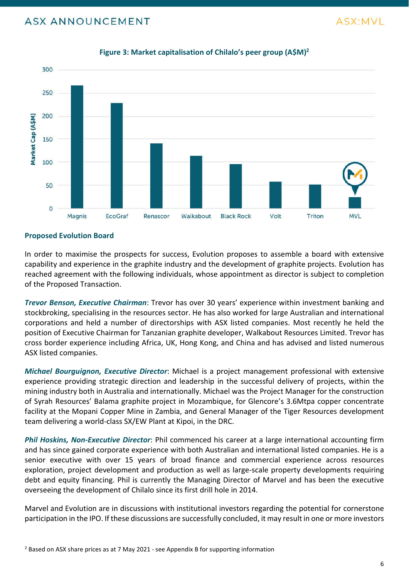

### **Figure 3: Market capitalisation of Chilalo's peer group (A\$M)2**

### **Proposed Evolution Board**

In order to maximise the prospects for success, Evolution proposes to assemble a board with extensive capability and experience in the graphite industry and the development of graphite projects. Evolution has reached agreement with the following individuals, whose appointment as director is subject to completion of the Proposed Transaction.

*Trevor Benson, Executive Chairman*: Trevor has over 30 years' experience within investment banking and stockbroking, specialising in the resources sector. He has also worked for large Australian and international corporations and held a number of directorships with ASX listed companies. Most recently he held the position of Executive Chairman for Tanzanian graphite developer, Walkabout Resources Limited. Trevor has cross border experience including Africa, UK, Hong Kong, and China and has advised and listed numerous ASX listed companies.

*Michael Bourguignon, Executive Director*: Michael is a project management professional with extensive experience providing strategic direction and leadership in the successful delivery of projects, within the mining industry both in Australia and internationally. Michael was the Project Manager for the construction of Syrah Resources' Balama graphite project in Mozambique, for Glencore's 3.6Mtpa copper concentrate facility at the Mopani Copper Mine in Zambia, and General Manager of the Tiger Resources development team delivering a world-class SX/EW Plant at Kipoi, in the DRC.

*Phil Hoskins, Non-Executive Director*: Phil commenced his career at a large international accounting firm and has since gained corporate experience with both Australian and international listed companies. He is a senior executive with over 15 years of broad finance and commercial experience across resources exploration, project development and production as well as large-scale property developments requiring debt and equity financing. Phil is currently the Managing Director of Marvel and has been the executive overseeing the development of Chilalo since its first drill hole in 2014. 2 Based on ASX share prices as at 7 May 2021 - see Appendix B for supporting information as well as large-scale prices and equity financing. Phil is currently the Managing Director of Manus overseeing the development of Ch

Marvel and Evolution are in discussions with institutional investors regarding the potential for cornerstone participation in the IPO. If these discussions are successfully concluded, it may result in one or more investors

ASX:MVI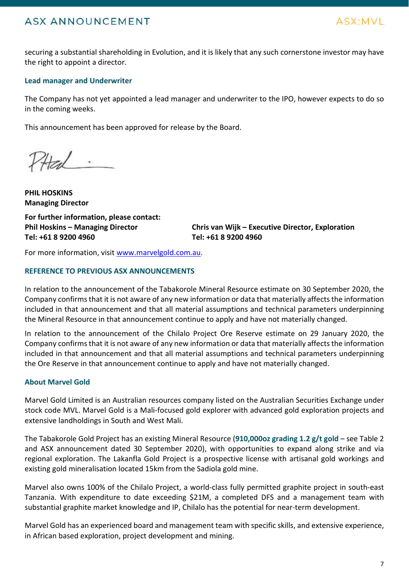

securing a substantial shareholding in Evolution, and it is likely that any such cornerstone investor may have the right to appoint a director.

### **Lead manager and Underwriter**

The Company has not yet appointed a lead manager and underwriter to the IPO, however expects to do so in the coming weeks.

This announcement has been approved for release by the Board.

PHEd

**PHIL HOSKINS Managing Director For further information, please contact:**

**Phil Hoskins – Managing Director Tel: +61 8 9200 4960**

**Chris van Wijk – Executive Director, Exploration Tel: +61 8 9200 4960**

For more information, visit www.marvelgold.com.au.

### **REFERENCE TO PREVIOUS ASX ANNOUNCEMENTS**

In relation to the announcement of the Tabakorole Mineral Resource estimate on 30 September 2020, the Company confirms that it is not aware of any new information or data that materially affects the information included in that announcement and that all material assumptions and technical parameters underpinning the Mineral Resource in that announcement continue to apply and have not materially changed.

In relation to the announcement of the Chilalo Project Ore Reserve estimate on 29 January 2020, the Company confirms that it is not aware of any new information or data that materially affects the information included in that announcement and that all material assumptions and technical parameters underpinning the Ore Reserve in that announcement continue to apply and have not materially changed.

### **About Marvel Gold**

Marvel Gold Limited is an Australian resources company listed on the Australian Securities Exchange under stock code MVL. Marvel Gold is a Mali-focused gold explorer with advanced gold exploration projects and extensive landholdings in South and West Mali.

The Tabakorole Gold Project has an existing Mineral Resource (**910,000oz grading 1.2 g/t gold** – see Table 2 and ASX announcement dated 30 September 2020), with opportunities to expand along strike and via regional exploration. The Lakanfla Gold Project is a prospective license with artisanal gold workings and existing gold mineralisation located 15km from the Sadiola gold mine.

Marvel also owns 100% of the Chilalo Project, a world-class fully permitted graphite project in south-east Tanzania. With expenditure to date exceeding \$21M, a completed DFS and a management team with substantial graphite market knowledge and IP, Chilalo has the potential for near-term development. regional exploration. The Lakanfla Gold Project is a prospect<br>existing gold mineralisation located 15km from the Sadiola gold<br>Marvel also owns 100% of the Chilalo Project, a world-class fi<br>Tanzania. With expenditure to dat

Marvel Gold has an experienced board and management team with specific skills, and extensive experience,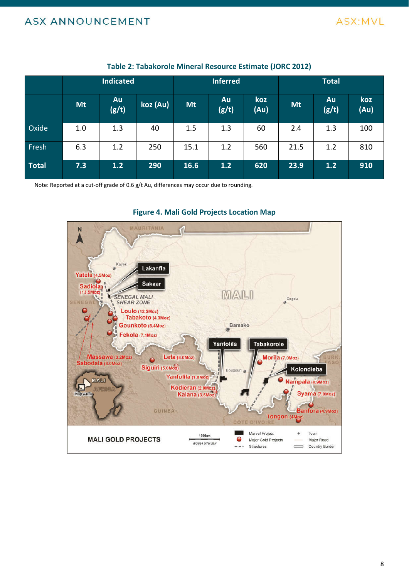

|              | <b>Indicated</b> |                    |          | <b>Inferred</b> |             |             | <b>Total</b> |             |             |
|--------------|------------------|--------------------|----------|-----------------|-------------|-------------|--------------|-------------|-------------|
|              | <b>Mt</b>        | <b>Au</b><br>(g/t) | koz (Au) | <b>Mt</b>       | Au<br>(g/t) | koz<br>(Au) | <b>Mt</b>    | Au<br>(g/t) | koz<br>(Au) |
| Oxide        | 1.0              | 1.3                | 40       | 1.5             | 1.3         | 60          | 2.4          | 1.3         | 100         |
| Fresh        | 6.3              | 1.2                | 250      | 15.1            | 1.2         | 560         | 21.5         | 1.2         | 810         |
| <b>Total</b> | 7.3              | 1.2                | 290      | 16.6            | 1.2         | 620         | 23.9         | 1.2         | 910         |

### **Table 2: Tabakorole Mineral Resource Estimate (JORC 2012)**

Note: Reported at a cut-off grade of 0.6 g/t Au, differences may occur due to rounding.



### **Figure 4. Mali Gold Projects Location Map**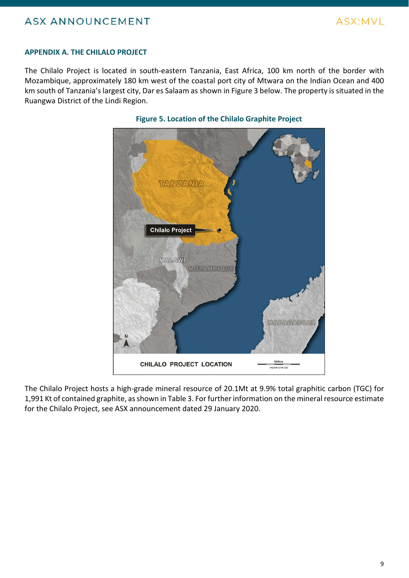

#### **APPENDIX A. THE CHILALO PROJECT**

The Chilalo Project is located in south-eastern Tanzania, East Africa, 100 km north of the border with Mozambique, approximately 180 km west of the coastal port city of Mtwara on the Indian Ocean and 400 km south of Tanzania's largest city, Dar es Salaam as shown in Figure 3 below. The property is situated in the Ruangwa District of the Lindi Region.



### **Figure 5. Location of the Chilalo Graphite Project**

The Chilalo Project hosts a high-grade mineral resource of 20.1Mt at 9.9% total graphitic carbon (TGC) for 1,991 Kt of contained graphite, as shown in Table 3. For further information on the mineral resource estimate for the Chilalo Project, see ASX announcement dated 29 January 2020.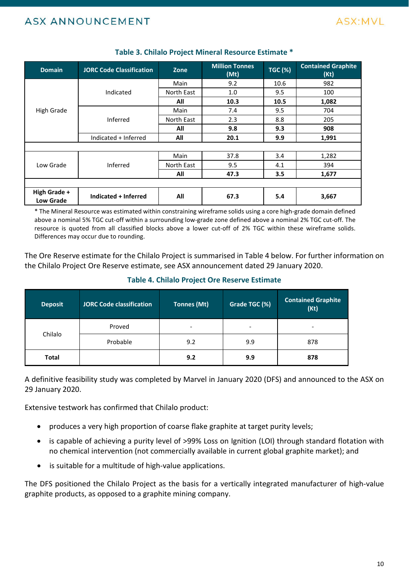

| <b>Domain</b>                    | <b>JORC Code Classification</b> | Zone       | <b>Million Tonnes</b><br>(Mt) | <b>TGC (%)</b> | <b>Contained Graphite</b><br>(Kt) |  |  |
|----------------------------------|---------------------------------|------------|-------------------------------|----------------|-----------------------------------|--|--|
|                                  |                                 | Main       | 9.2                           | 10.6           | 982                               |  |  |
|                                  | Indicated                       | North East | 1.0                           | 9.5            | 100                               |  |  |
|                                  |                                 | All        | 10.3                          | 10.5           | 1,082                             |  |  |
| <b>High Grade</b>                |                                 | Main       | 7.4                           | 9.5            | 704                               |  |  |
|                                  | Inferred                        | North East | 2.3                           | 8.8            | 205                               |  |  |
|                                  |                                 | All        | 9.8                           | 9.3            | 908                               |  |  |
|                                  | Indicated + Inferred            | All        | 20.1                          | 9.9            | 1,991                             |  |  |
|                                  |                                 |            |                               |                |                                   |  |  |
| Low Grade                        |                                 | Main       | 37.8                          | 3.4            | 1,282                             |  |  |
|                                  | Inferred                        | North East | 9.5                           | 4.1            | 394                               |  |  |
|                                  |                                 | All        | 47.3                          | 3.5            | 1,677                             |  |  |
|                                  |                                 |            |                               |                |                                   |  |  |
| High Grade +<br><b>Low Grade</b> | Indicated + Inferred            | All        | 67.3                          | 5.4            | 3,667                             |  |  |

### **Table 3. Chilalo Project Mineral Resource Estimate \***

\* The Mineral Resource was estimated within constraining wireframe solids using a core high-grade domain defined above a nominal 5% TGC cut-off within a surrounding low-grade zone defined above a nominal 2% TGC cut-off. The resource is quoted from all classified blocks above a lower cut-off of 2% TGC within these wireframe solids. Differences may occur due to rounding.

The Ore Reserve estimate for the Chilalo Project is summarised in Table 4 below. For further information on the Chilalo Project Ore Reserve estimate, see ASX announcement dated 29 January 2020.

**Table 4. Chilalo Project Ore Reserve Estimate**

| <b>Deposit</b> | JORC Code classification | <b>Tonnes (Mt)</b>       | Grade TGC (%)            | <b>Contained Graphite</b><br>(Kt) |
|----------------|--------------------------|--------------------------|--------------------------|-----------------------------------|
| Chilalo        | Proved                   | $\overline{\phantom{a}}$ | $\overline{\phantom{a}}$ | $\overline{\phantom{a}}$          |
|                | Probable                 | 9.2                      | 9.9                      | 878                               |
| <b>Total</b>   |                          | 9.2                      | 9.9                      | 878                               |

A definitive feasibility study was completed by Marvel in January 2020 (DFS) and announced to the ASX on 29 January 2020.

Extensive testwork has confirmed that Chilalo product:

- produces a very high proportion of coarse flake graphite at target purity levels;
- is capable of achieving a purity level of >99% Loss on Ignition (LOI) through standard flotation with no chemical intervention (not commercially available in current global graphite market); and
- is suitable for a multitude of high-value applications.

The DFS positioned the Chilalo Project as the basis for a vertically integrated manufacturer of high-value In the meaning the commercially available is<br>
• is suitable for a multitude of high-value applications.<br>
The DFS positioned the Chilalo Project as the basis for a ver<br>
graphite products, as opposed to a graphite mining com